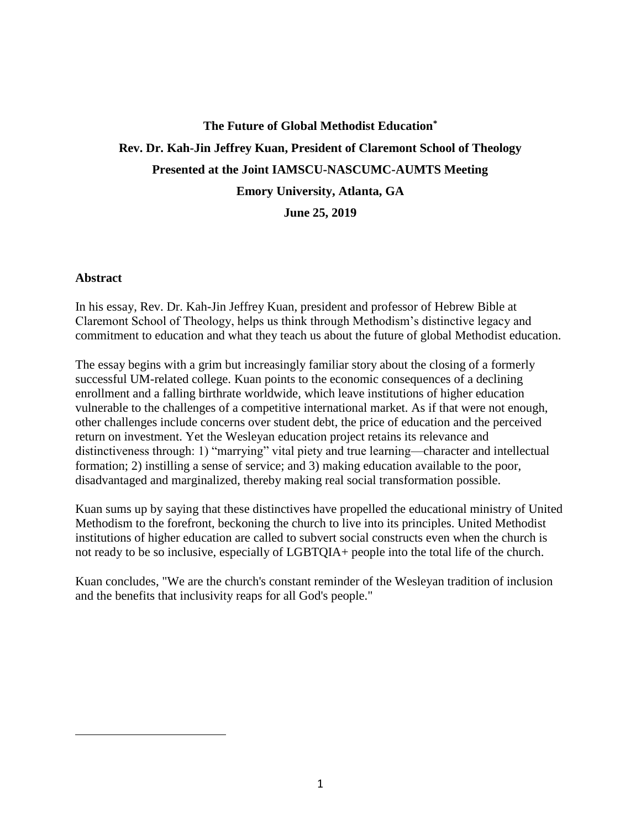# **The Future of Global Methodist Education\* Rev. Dr. Kah-Jin Jeffrey Kuan, President of Claremont School of Theology Presented at the Joint IAMSCU-NASCUMC-AUMTS Meeting Emory University, Atlanta, GA**

**June 25, 2019**

### **Abstract**

 $\overline{a}$ 

In his essay, Rev. Dr. Kah-Jin Jeffrey Kuan, president and professor of Hebrew Bible at Claremont School of Theology, helps us think through Methodism's distinctive legacy and commitment to education and what they teach us about the future of global Methodist education.

The essay begins with a grim but increasingly familiar story about the closing of a formerly successful UM-related college. Kuan points to the economic consequences of a declining enrollment and a falling birthrate worldwide, which leave institutions of higher education vulnerable to the challenges of a competitive international market. As if that were not enough, other challenges include concerns over student debt, the price of education and the perceived return on investment. Yet the Wesleyan education project retains its relevance and distinctiveness through: 1) "marrying" vital piety and true learning—character and intellectual formation; 2) instilling a sense of service; and 3) making education available to the poor, disadvantaged and marginalized, thereby making real social transformation possible.

Kuan sums up by saying that these distinctives have propelled the educational ministry of United Methodism to the forefront, beckoning the church to live into its principles. United Methodist institutions of higher education are called to subvert social constructs even when the church is not ready to be so inclusive, especially of LGBTQIA+ people into the total life of the church.

Kuan concludes, "We are the church's constant reminder of the Wesleyan tradition of inclusion and the benefits that inclusivity reaps for all God's people."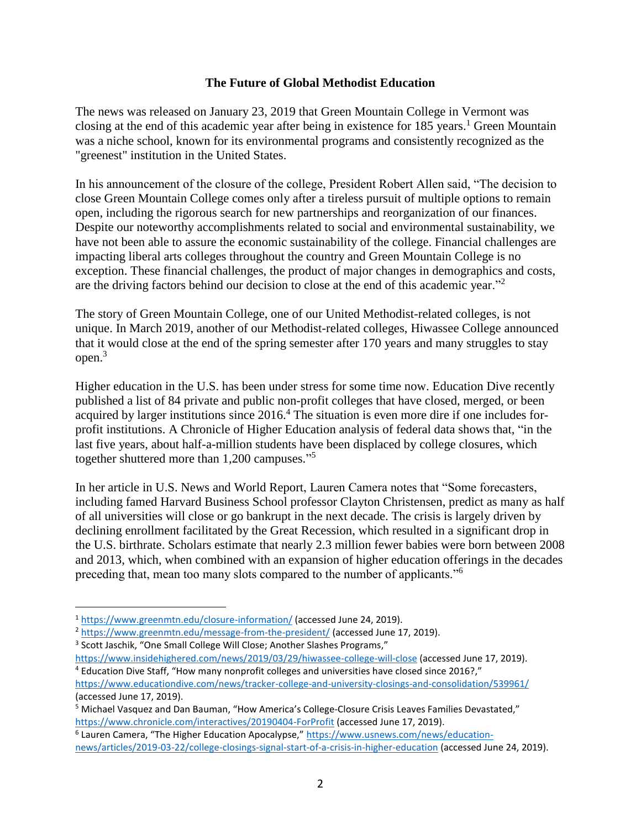### **The Future of Global Methodist Education**

The news was released on January 23, 2019 that Green Mountain College in Vermont was closing at the end of this academic year after being in existence for  $185$  years.<sup>1</sup> Green Mountain was a niche school, known for its environmental programs and consistently recognized as the "greenest" institution in the United States.

In his announcement of the closure of the college, President Robert Allen said, "The decision to close Green Mountain College comes only after a tireless pursuit of multiple options to remain open, including the rigorous search for new partnerships and reorganization of our finances. Despite our noteworthy accomplishments related to social and environmental sustainability, we have not been able to assure the economic sustainability of the college. Financial challenges are impacting liberal arts colleges throughout the country and Green Mountain College is no exception. These financial challenges, the product of major changes in demographics and costs, are the driving factors behind our decision to close at the end of this academic year."<sup>2</sup>

The story of Green Mountain College, one of our United Methodist-related colleges, is not unique. In March 2019, another of our Methodist-related colleges, Hiwassee College announced that it would close at the end of the spring semester after 170 years and many struggles to stay open. 3

Higher education in the U.S. has been under stress for some time now. Education Dive recently published a list of 84 private and public non-profit colleges that have closed, merged, or been acquired by larger institutions since 2016.<sup>4</sup> The situation is even more dire if one includes forprofit institutions. A Chronicle of Higher Education analysis of federal data shows that, "in the last five years, about half-a-million students have been displaced by college closures, which together shuttered more than 1,200 campuses." 5

In her article in U.S. News and World Report, Lauren Camera notes that "Some forecasters, including famed Harvard Business School professor Clayton Christensen, predict as many as half of all universities will close or go bankrupt in the next decade. The crisis is largely driven by declining enrollment facilitated by the Great Recession, which resulted in a significant drop in the U.S. birthrate. Scholars estimate that nearly 2.3 million fewer babies were born between 2008 and 2013, which, when combined with an expansion of higher education offerings in the decades preceding that, mean too many slots compared to the number of applicants."<sup>6</sup>

<sup>1</sup> <https://www.greenmtn.edu/closure-information/> (accessed June 24, 2019).

<sup>2</sup> <https://www.greenmtn.edu/message-from-the-president/> (accessed June 17, 2019).

<sup>&</sup>lt;sup>3</sup> Scott Jaschik, "One Small College Will Close; Another Slashes Programs,"

<https://www.insidehighered.com/news/2019/03/29/hiwassee-college-will-close> (accessed June 17, 2019). <sup>4</sup> Education Dive Staff, "How many nonprofit colleges and universities have closed since 2016?," <https://www.educationdive.com/news/tracker-college-and-university-closings-and-consolidation/539961/> (accessed June 17, 2019).

<sup>5</sup> Michael Vasquez and Dan Bauman, "How America's College-Closure Crisis Leaves Families Devastated," <https://www.chronicle.com/interactives/20190404-ForProfit> (accessed June 17, 2019).

<sup>&</sup>lt;sup>6</sup> Lauren Camera, "The Higher Education Apocalypse," [https://www.usnews.com/news/education](https://www.usnews.com/news/education-news/articles/2019-03-22/college-closings-signal-start-of-a-crisis-in-higher-education)[news/articles/2019-03-22/college-closings-signal-start-of-a-crisis-in-higher-education](https://www.usnews.com/news/education-news/articles/2019-03-22/college-closings-signal-start-of-a-crisis-in-higher-education) (accessed June 24, 2019).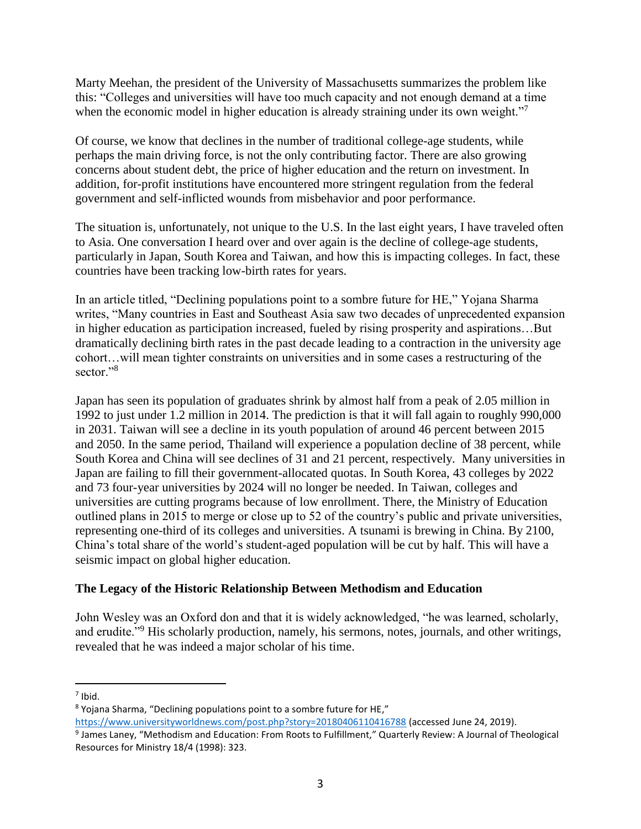Marty Meehan, the president of the University of Massachusetts summarizes the problem like this: "Colleges and universities will have too much capacity and not enough demand at a time when the economic model in higher education is already straining under its own weight."<sup>7</sup>

Of course, we know that declines in the number of traditional college-age students, while perhaps the main driving force, is not the only contributing factor. There are also growing concerns about student debt, the price of higher education and the return on investment. In addition, for-profit institutions have encountered more stringent regulation from the federal government and self-inflicted wounds from misbehavior and poor performance.

The situation is, unfortunately, not unique to the U.S. In the last eight years, I have traveled often to Asia. One conversation I heard over and over again is the decline of college-age students, particularly in Japan, South Korea and Taiwan, and how this is impacting colleges. In fact, these countries have been tracking low-birth rates for years.

In an article titled, "Declining populations point to a sombre future for HE," Yojana Sharma writes, "Many countries in East and Southeast Asia saw two decades of unprecedented expansion in higher education as participation increased, fueled by rising prosperity and aspirations…But dramatically declining birth rates in the past decade leading to a contraction in the university age cohort…will mean tighter constraints on universities and in some cases a restructuring of the sector."<sup>8</sup>

Japan has seen its population of graduates shrink by almost half from a peak of 2.05 million in 1992 to just under 1.2 million in 2014. The prediction is that it will fall again to roughly 990,000 in 2031. Taiwan will see a decline in its youth population of around 46 percent between 2015 and 2050. In the same period, Thailand will experience a population decline of 38 percent, while South Korea and China will see declines of 31 and 21 percent, respectively. Many universities in Japan are failing to fill their government-allocated quotas. In South Korea, 43 colleges by 2022 and 73 four-year universities by 2024 will no longer be needed. In Taiwan, colleges and universities are cutting programs because of low enrollment. There, the Ministry of Education outlined plans in 2015 to merge or close up to 52 of the country's public and private universities, representing one-third of its colleges and universities. A tsunami is brewing in China. By 2100, China's total share of the world's student-aged population will be cut by half. This will have a seismic impact on global higher education.

## **The Legacy of the Historic Relationship Between Methodism and Education**

John Wesley was an Oxford don and that it is widely acknowledged, "he was learned, scholarly, and erudite."<sup>9</sup> His scholarly production, namely, his sermons, notes, journals, and other writings, revealed that he was indeed a major scholar of his time.

<sup>7</sup> Ibid.

<sup>8</sup> Yojana Sharma, "Declining populations point to a sombre future for HE,"

<https://www.universityworldnews.com/post.php?story=20180406110416788> (accessed June 24, 2019).

<sup>&</sup>lt;sup>9</sup> James Laney, "Methodism and Education: From Roots to Fulfillment," Quarterly Review: A Journal of Theological Resources for Ministry 18/4 (1998): 323.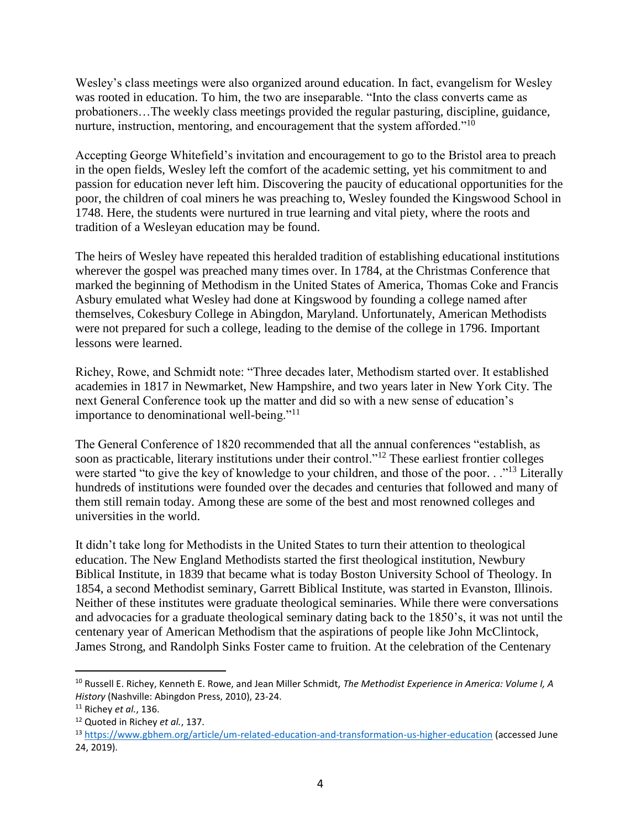Wesley's class meetings were also organized around education. In fact, evangelism for Wesley was rooted in education. To him, the two are inseparable. "Into the class converts came as probationers…The weekly class meetings provided the regular pasturing, discipline, guidance, nurture, instruction, mentoring, and encouragement that the system afforded."<sup>10</sup>

Accepting George Whitefield's invitation and encouragement to go to the Bristol area to preach in the open fields, Wesley left the comfort of the academic setting, yet his commitment to and passion for education never left him. Discovering the paucity of educational opportunities for the poor, the children of coal miners he was preaching to, Wesley founded the Kingswood School in 1748. Here, the students were nurtured in true learning and vital piety, where the roots and tradition of a Wesleyan education may be found.

The heirs of Wesley have repeated this heralded tradition of establishing educational institutions wherever the gospel was preached many times over. In 1784, at the Christmas Conference that marked the beginning of Methodism in the United States of America, Thomas Coke and Francis Asbury emulated what Wesley had done at Kingswood by founding a college named after themselves, Cokesbury College in Abingdon, Maryland. Unfortunately, American Methodists were not prepared for such a college, leading to the demise of the college in 1796. Important lessons were learned.

Richey, Rowe, and Schmidt note: "Three decades later, Methodism started over. It established academies in 1817 in Newmarket, New Hampshire, and two years later in New York City. The next General Conference took up the matter and did so with a new sense of education's importance to denominational well-being."<sup>11</sup>

The General Conference of 1820 recommended that all the annual conferences "establish, as soon as practicable, literary institutions under their control."<sup>12</sup> These earliest frontier colleges were started "to give the key of knowledge to your children, and those of the poor. . ."<sup>13</sup> Literally hundreds of institutions were founded over the decades and centuries that followed and many of them still remain today. Among these are some of the best and most renowned colleges and universities in the world.

It didn't take long for Methodists in the United States to turn their attention to theological education. The New England Methodists started the first theological institution, Newbury Biblical Institute, in 1839 that became what is today Boston University School of Theology. In 1854, a second Methodist seminary, Garrett Biblical Institute, was started in Evanston, Illinois. Neither of these institutes were graduate theological seminaries. While there were conversations and advocacies for a graduate theological seminary dating back to the 1850's, it was not until the centenary year of American Methodism that the aspirations of people like John McClintock, James Strong, and Randolph Sinks Foster came to fruition. At the celebration of the Centenary

<sup>10</sup> Russell E. Richey, Kenneth E. Rowe, and Jean Miller Schmidt, *The Methodist Experience in America: Volume I, A History* (Nashville: Abingdon Press, 2010), 23-24.

<sup>11</sup> Richey *et al.*, 136.

<sup>12</sup> Quoted in Richey *et al.*, 137.

<sup>13</sup> <https://www.gbhem.org/article/um-related-education-and-transformation-us-higher-education> (accessed June 24, 2019).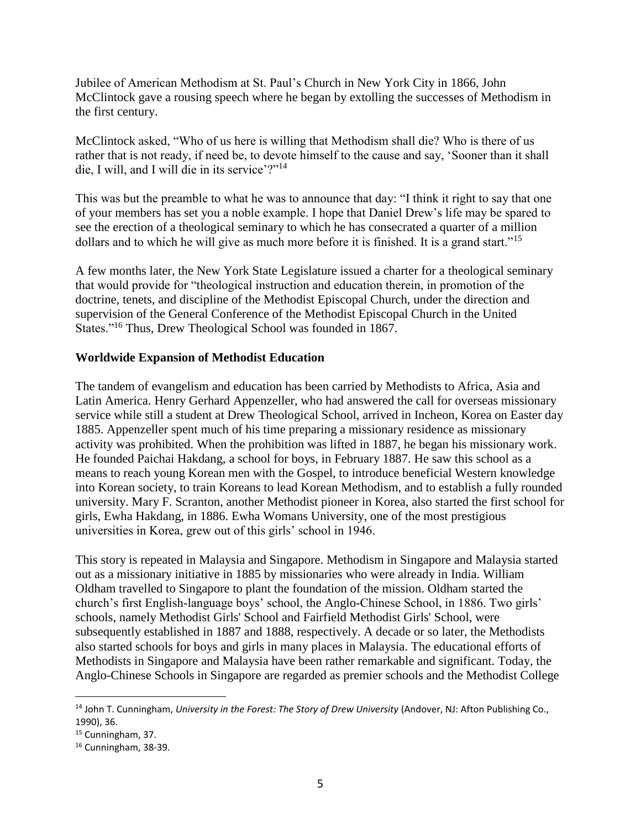Jubilee of American Methodism at St. Paul's Church in New York City in 1866, John McClintock gave a rousing speech where he began by extolling the successes of Methodism in the first century.

McClintock asked, "Who of us here is willing that Methodism shall die? Who is there of us rather that is not ready, if need be, to devote himself to the cause and say, 'Sooner than it shall die, I will, and I will die in its service'?"<sup>14</sup>

This was but the preamble to what he was to announce that day: "I think it right to say that one of your members has set you a noble example. I hope that Daniel Drew's life may be spared to see the erection of a theological seminary to which he has consecrated a quarter of a million dollars and to which he will give as much more before it is finished. It is a grand start."<sup>15</sup>

A few months later, the New York State Legislature issued a charter for a theological seminary that would provide for "theological instruction and education therein, in promotion of the doctrine, tenets, and discipline of the Methodist Episcopal Church, under the direction and supervision of the General Conference of the Methodist Episcopal Church in the United States."<sup>16</sup> Thus, Drew Theological School was founded in 1867.

### **Worldwide Expansion of Methodist Education**

The tandem of evangelism and education has been carried by Methodists to Africa, Asia and Latin America. Henry Gerhard Appenzeller, who had answered the call for overseas missionary service while still a student at Drew Theological School, arrived in Incheon, Korea on Easter day 1885. Appenzeller spent much of his time preparing a missionary residence as missionary activity was prohibited. When the prohibition was lifted in 1887, he began his missionary work. He founded Paichai Hakdang, a school for boys, in February 1887. He saw this school as a means to reach young Korean men with the Gospel, to introduce beneficial Western knowledge into Korean society, to train Koreans to lead Korean Methodism, and to establish a fully rounded university. Mary F. Scranton, another Methodist pioneer in Korea, also started the first school for girls, Ewha Hakdang, in 1886. Ewha Womans University, one of the most prestigious universities in Korea, grew out of this girls' school in 1946.

This story is repeated in Malaysia and Singapore. Methodism in Singapore and Malaysia started out as a missionary initiative in 1885 by missionaries who were already in India. William Oldham travelled to Singapore to plant the foundation of the mission. Oldham started the church's first English-language boys' school, the Anglo-Chinese School, in 1886. Two girls' schools, namely Methodist Girls' School and Fairfield Methodist Girls' School, were subsequently established in 1887 and 1888, respectively. A decade or so later, the Methodists also started schools for boys and girls in many places in Malaysia. The educational efforts of Methodists in Singapore and Malaysia have been rather remarkable and significant. Today, the Anglo-Chinese Schools in Singapore are regarded as premier schools and the Methodist College

<sup>14</sup> John T. Cunningham, *University in the Forest: The Story of Drew University* (Andover, NJ: Afton Publishing Co., 1990), 36.

<sup>&</sup>lt;sup>15</sup> Cunningham, 37.

<sup>16</sup> Cunningham, 38-39.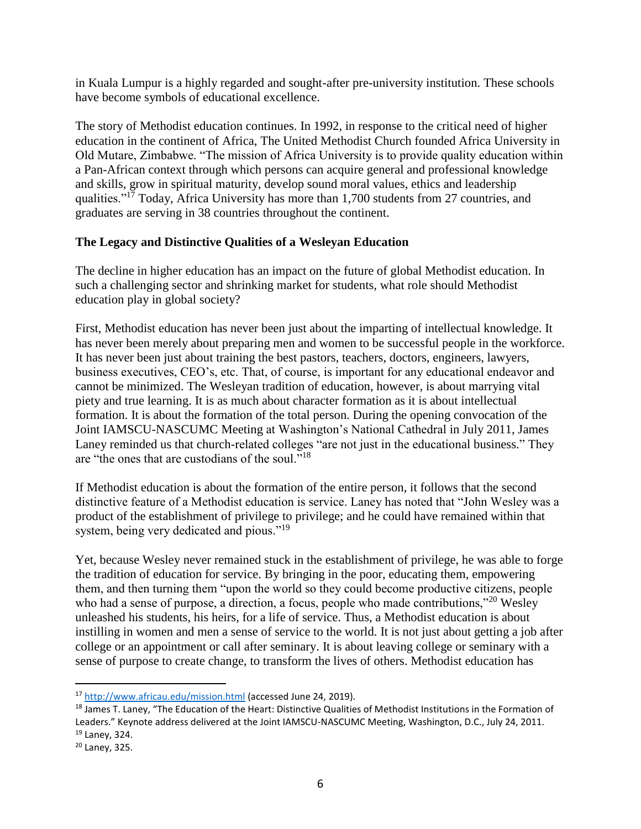in Kuala Lumpur is a highly regarded and sought-after pre-university institution. These schools have become symbols of educational excellence.

The story of Methodist education continues. In 1992, in response to the critical need of higher education in the continent of Africa, The United Methodist Church founded Africa University in Old Mutare, Zimbabwe. "The mission of Africa University is to provide quality education within a Pan-African context through which persons can acquire general and professional knowledge and skills, grow in spiritual maturity, develop sound moral values, ethics and leadership qualities."<sup>17</sup> Today, Africa University has more than 1,700 students from 27 countries, and graduates are serving in 38 countries throughout the continent.

## **The Legacy and Distinctive Qualities of a Wesleyan Education**

The decline in higher education has an impact on the future of global Methodist education. In such a challenging sector and shrinking market for students, what role should Methodist education play in global society?

First, Methodist education has never been just about the imparting of intellectual knowledge. It has never been merely about preparing men and women to be successful people in the workforce. It has never been just about training the best pastors, teachers, doctors, engineers, lawyers, business executives, CEO's, etc. That, of course, is important for any educational endeavor and cannot be minimized. The Wesleyan tradition of education, however, is about marrying vital piety and true learning. It is as much about character formation as it is about intellectual formation. It is about the formation of the total person. During the opening convocation of the Joint IAMSCU-NASCUMC Meeting at Washington's National Cathedral in July 2011, James Laney reminded us that church-related colleges "are not just in the educational business." They are "the ones that are custodians of the soul."<sup>18</sup>

If Methodist education is about the formation of the entire person, it follows that the second distinctive feature of a Methodist education is service. Laney has noted that "John Wesley was a product of the establishment of privilege to privilege; and he could have remained within that system, being very dedicated and pious."<sup>19</sup>

Yet, because Wesley never remained stuck in the establishment of privilege, he was able to forge the tradition of education for service. By bringing in the poor, educating them, empowering them, and then turning them "upon the world so they could become productive citizens, people who had a sense of purpose, a direction, a focus, people who made contributions,"<sup>20</sup> Wesley unleashed his students, his heirs, for a life of service. Thus, a Methodist education is about instilling in women and men a sense of service to the world. It is not just about getting a job after college or an appointment or call after seminary. It is about leaving college or seminary with a sense of purpose to create change, to transform the lives of others. Methodist education has

<sup>17</sup> <http://www.africau.edu/mission.html> (accessed June 24, 2019).

<sup>&</sup>lt;sup>18</sup> James T. Laney, "The Education of the Heart: Distinctive Qualities of Methodist Institutions in the Formation of Leaders." Keynote address delivered at the Joint IAMSCU-NASCUMC Meeting, Washington, D.C., July 24, 2011. <sup>19</sup> Laney, 324.

<sup>20</sup> Laney, 325.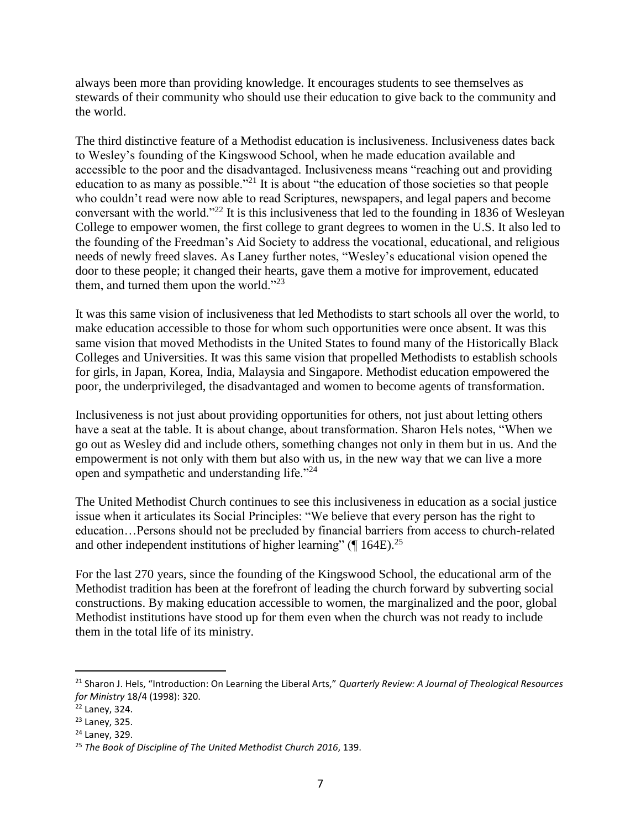always been more than providing knowledge. It encourages students to see themselves as stewards of their community who should use their education to give back to the community and the world.

The third distinctive feature of a Methodist education is inclusiveness. Inclusiveness dates back to Wesley's founding of the Kingswood School, when he made education available and accessible to the poor and the disadvantaged. Inclusiveness means "reaching out and providing education to as many as possible.<sup> $21$ </sup> It is about "the education of those societies so that people who couldn't read were now able to read Scriptures, newspapers, and legal papers and become conversant with the world."<sup>22</sup> It is this inclusiveness that led to the founding in 1836 of Wesleyan College to empower women, the first college to grant degrees to women in the U.S. It also led to the founding of the Freedman's Aid Society to address the vocational, educational, and religious needs of newly freed slaves. As Laney further notes, "Wesley's educational vision opened the door to these people; it changed their hearts, gave them a motive for improvement, educated them, and turned them upon the world."<sup>23</sup>

It was this same vision of inclusiveness that led Methodists to start schools all over the world, to make education accessible to those for whom such opportunities were once absent. It was this same vision that moved Methodists in the United States to found many of the Historically Black Colleges and Universities. It was this same vision that propelled Methodists to establish schools for girls, in Japan, Korea, India, Malaysia and Singapore. Methodist education empowered the poor, the underprivileged, the disadvantaged and women to become agents of transformation.

Inclusiveness is not just about providing opportunities for others, not just about letting others have a seat at the table. It is about change, about transformation. Sharon Hels notes, "When we go out as Wesley did and include others, something changes not only in them but in us. And the empowerment is not only with them but also with us, in the new way that we can live a more open and sympathetic and understanding life."<sup>24</sup>

The United Methodist Church continues to see this inclusiveness in education as a social justice issue when it articulates its Social Principles: "We believe that every person has the right to education…Persons should not be precluded by financial barriers from access to church-related and other independent institutions of higher learning" ( $\P$  164E).<sup>25</sup>

For the last 270 years, since the founding of the Kingswood School, the educational arm of the Methodist tradition has been at the forefront of leading the church forward by subverting social constructions. By making education accessible to women, the marginalized and the poor, global Methodist institutions have stood up for them even when the church was not ready to include them in the total life of its ministry.

<sup>21</sup> Sharon J. Hels, "Introduction: On Learning the Liberal Arts," *Quarterly Review: A Journal of Theological Resources for Ministry* 18/4 (1998): 320.

<sup>22</sup> Laney, 324.

<sup>23</sup> Laney, 325.

<sup>24</sup> Laney, 329.

<sup>25</sup> *The Book of Discipline of The United Methodist Church 2016*, 139.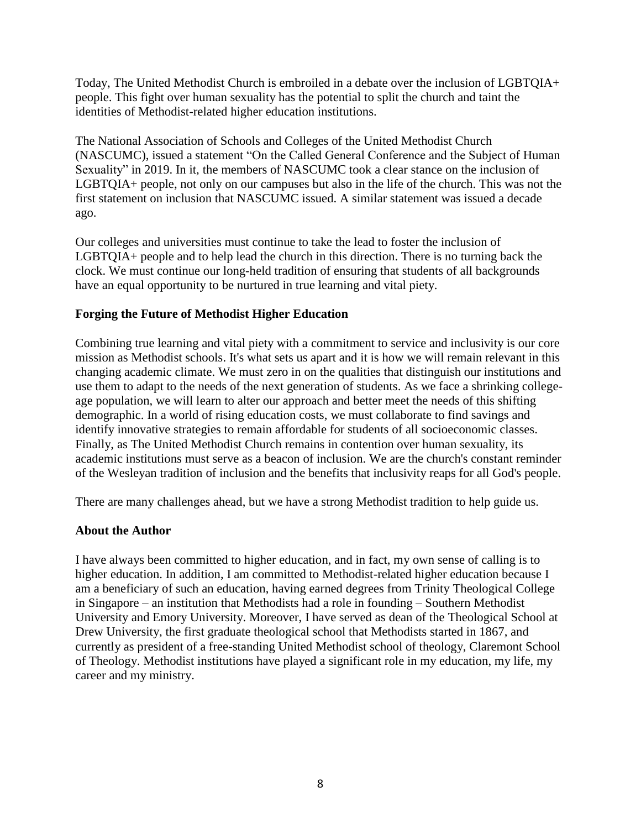Today, The United Methodist Church is embroiled in a debate over the inclusion of LGBTQIA+ people. This fight over human sexuality has the potential to split the church and taint the identities of Methodist-related higher education institutions.

The National Association of Schools and Colleges of the United Methodist Church (NASCUMC), issued a statement "On the Called General Conference and the Subject of Human Sexuality" in 2019. In it, the members of NASCUMC took a clear stance on the inclusion of LGBTQIA+ people, not only on our campuses but also in the life of the church. This was not the first statement on inclusion that NASCUMC issued. A similar statement was issued a decade ago.

Our colleges and universities must continue to take the lead to foster the inclusion of LGBTQIA+ people and to help lead the church in this direction. There is no turning back the clock. We must continue our long-held tradition of ensuring that students of all backgrounds have an equal opportunity to be nurtured in true learning and vital piety.

### **Forging the Future of Methodist Higher Education**

Combining true learning and vital piety with a commitment to service and inclusivity is our core mission as Methodist schools. It's what sets us apart and it is how we will remain relevant in this changing academic climate. We must zero in on the qualities that distinguish our institutions and use them to adapt to the needs of the next generation of students. As we face a shrinking collegeage population, we will learn to alter our approach and better meet the needs of this shifting demographic. In a world of rising education costs, we must collaborate to find savings and identify innovative strategies to remain affordable for students of all socioeconomic classes. Finally, as The United Methodist Church remains in contention over human sexuality, its academic institutions must serve as a beacon of inclusion. We are the church's constant reminder of the Wesleyan tradition of inclusion and the benefits that inclusivity reaps for all God's people.

There are many challenges ahead, but we have a strong Methodist tradition to help guide us.

#### **About the Author**

I have always been committed to higher education, and in fact, my own sense of calling is to higher education. In addition, I am committed to Methodist-related higher education because I am a beneficiary of such an education, having earned degrees from Trinity Theological College in Singapore – an institution that Methodists had a role in founding – Southern Methodist University and Emory University. Moreover, I have served as dean of the Theological School at Drew University, the first graduate theological school that Methodists started in 1867, and currently as president of a free-standing United Methodist school of theology, Claremont School of Theology. Methodist institutions have played a significant role in my education, my life, my career and my ministry.